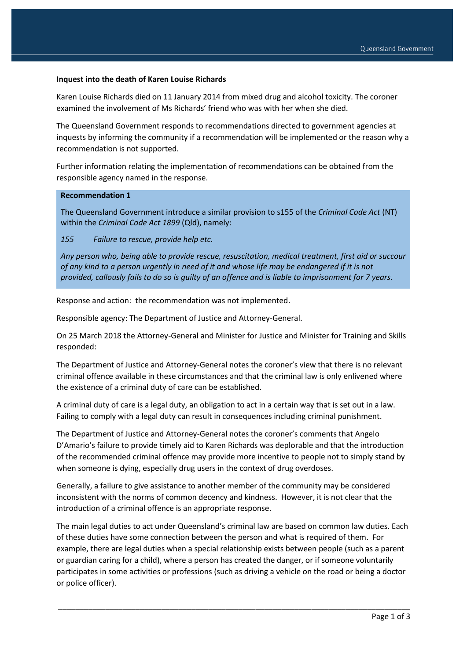## **Inquest into the death of Karen Louise Richards**

Karen Louise Richards died on 11 January 2014 from mixed drug and alcohol toxicity. The coroner examined the involvement of Ms Richards' friend who was with her when she died.

The Queensland Government responds to recommendations directed to government agencies at inquests by informing the community if a recommendation will be implemented or the reason why a recommendation is not supported.

Further information relating the implementation of recommendations can be obtained from the responsible agency named in the response.

## **Recommendation 1**

The Queensland Government introduce a similar provision to s155 of the *Criminal Code Act* (NT) within the *Criminal Code Act 1899* (Qld), namely:

*155 Failure to rescue, provide help etc.*

*Any person who, being able to provide rescue, resuscitation, medical treatment, first aid or succour of any kind to a person urgently in need of it and whose life may be endangered if it is not provided, callously fails to do so is guilty of an offence and is liable to imprisonment for 7 years.*

Response and action: the recommendation was not implemented.

Responsible agency: The Department of Justice and Attorney-General.

On 25 March 2018 the Attorney-General and Minister for Justice and Minister for Training and Skills responded:

The Department of Justice and Attorney-General notes the coroner's view that there is no relevant criminal offence available in these circumstances and that the criminal law is only enlivened where the existence of a criminal duty of care can be established.

A criminal duty of care is a legal duty, an obligation to act in a certain way that is set out in a law. Failing to comply with a legal duty can result in consequences including criminal punishment.

The Department of Justice and Attorney-General notes the coroner's comments that Angelo D'Amario's failure to provide timely aid to Karen Richards was deplorable and that the introduction of the recommended criminal offence may provide more incentive to people not to simply stand by when someone is dying, especially drug users in the context of drug overdoses.

Generally, a failure to give assistance to another member of the community may be considered inconsistent with the norms of common decency and kindness. However, it is not clear that the introduction of a criminal offence is an appropriate response.

The main legal duties to act under Queensland's criminal law are based on common law duties. Each of these duties have some connection between the person and what is required of them. For example, there are legal duties when a special relationship exists between people (such as a parent or guardian caring for a child), where a person has created the danger, or if someone voluntarily participates in some activities or professions (such as driving a vehicle on the road or being a doctor or police officer).

\_\_\_\_\_\_\_\_\_\_\_\_\_\_\_\_\_\_\_\_\_\_\_\_\_\_\_\_\_\_\_\_\_\_\_\_\_\_\_\_\_\_\_\_\_\_\_\_\_\_\_\_\_\_\_\_\_\_\_\_\_\_\_\_\_\_\_\_\_\_\_\_\_\_\_\_\_\_\_\_\_\_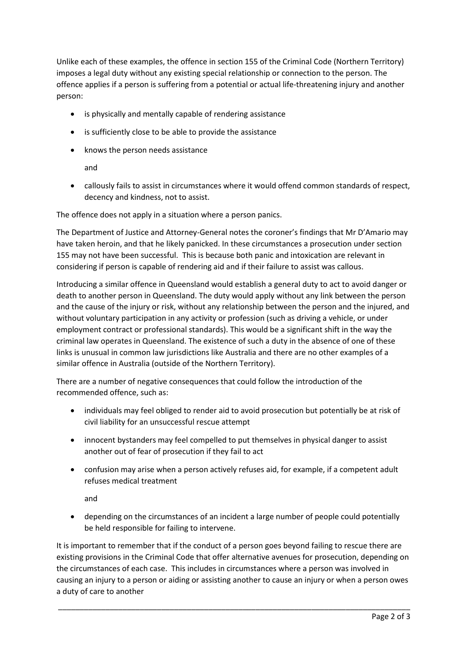Unlike each of these examples, the offence in section 155 of the Criminal Code (Northern Territory) imposes a legal duty without any existing special relationship or connection to the person. The offence applies if a person is suffering from a potential or actual life-threatening injury and another person:

- is physically and mentally capable of rendering assistance
- is sufficiently close to be able to provide the assistance
- knows the person needs assistance

and

 callously fails to assist in circumstances where it would offend common standards of respect, decency and kindness, not to assist.

The offence does not apply in a situation where a person panics.

The Department of Justice and Attorney-General notes the coroner's findings that Mr D'Amario may have taken heroin, and that he likely panicked. In these circumstances a prosecution under section 155 may not have been successful. This is because both panic and intoxication are relevant in considering if person is capable of rendering aid and if their failure to assist was callous.

Introducing a similar offence in Queensland would establish a general duty to act to avoid danger or death to another person in Queensland. The duty would apply without any link between the person and the cause of the injury or risk, without any relationship between the person and the injured, and without voluntary participation in any activity or profession (such as driving a vehicle, or under employment contract or professional standards). This would be a significant shift in the way the criminal law operates in Queensland. The existence of such a duty in the absence of one of these links is unusual in common law jurisdictions like Australia and there are no other examples of a similar offence in Australia (outside of the Northern Territory).

There are a number of negative consequences that could follow the introduction of the recommended offence, such as:

- individuals may feel obliged to render aid to avoid prosecution but potentially be at risk of civil liability for an unsuccessful rescue attempt
- innocent bystanders may feel compelled to put themselves in physical danger to assist another out of fear of prosecution if they fail to act
- confusion may arise when a person actively refuses aid, for example, if a competent adult refuses medical treatment

and

 depending on the circumstances of an incident a large number of people could potentially be held responsible for failing to intervene.

It is important to remember that if the conduct of a person goes beyond failing to rescue there are existing provisions in the Criminal Code that offer alternative avenues for prosecution, depending on the circumstances of each case. This includes in circumstances where a person was involved in causing an injury to a person or aiding or assisting another to cause an injury or when a person owes a duty of care to another

\_\_\_\_\_\_\_\_\_\_\_\_\_\_\_\_\_\_\_\_\_\_\_\_\_\_\_\_\_\_\_\_\_\_\_\_\_\_\_\_\_\_\_\_\_\_\_\_\_\_\_\_\_\_\_\_\_\_\_\_\_\_\_\_\_\_\_\_\_\_\_\_\_\_\_\_\_\_\_\_\_\_